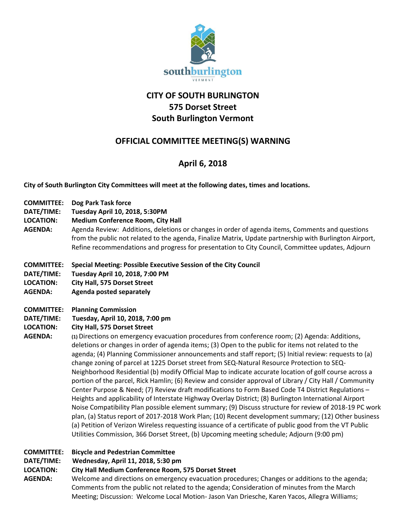

## **CITY OF SOUTH BURLINGTON 575 Dorset Street South Burlington Vermont**

## **OFFICIAL COMMITTEE MEETING(S) WARNING**

# **April 6, 2018**

**City of South Burlington City Committees will meet at the following dates, times and locations.** 

- **COMMITTEE: Dog Park Task force**
- **DATE/TIME: Tuesday April 10, 2018, 5:30PM**
- **LOCATION: Medium Conference Room, City Hall**
- **AGENDA:** Agenda Review: Additions, deletions or changes in order of agenda items, Comments and questions from the public not related to the agenda, Finalize Matrix, Update partnership with Burlington Airport, Refine recommendations and progress for presentation to City Council, Committee updates, Adjourn
- **COMMITTEE: Special Meeting: Possible Executive Session of the City Council**
- **DATE/TIME: Tuesday April 10, 2018, 7:00 PM**
- **LOCATION: City Hall, 575 Dorset Street**
- **AGENDA: Agenda posted separately**
- **COMMITTEE: Planning Commission**
- **DATE/TIME: Tuesday, April 10, 2018, 7:00 pm**
- **LOCATION: City Hall, 575 Dorset Street**
- **AGENDA: (1)** Directions on emergency evacuation procedures from conference room; (2) Agenda: Additions, deletions or changes in order of agenda items; (3) Open to the public for items not related to the agenda; (4) Planning Commissioner announcements and staff report; (5) Initial review: requests to (a) change zoning of parcel at 1225 Dorset street from SEQ-Natural Resource Protection to SEQ-Neighborhood Residential (b) modify Official Map to indicate accurate location of golf course across a portion of the parcel, Rick Hamlin; (6) Review and consider approval of Library / City Hall / Community Center Purpose & Need; (7) Review draft modifications to Form Based Code T4 District Regulations – Heights and applicability of Interstate Highway Overlay District; (8) Burlington International Airport Noise Compatibility Plan possible element summary; (9) Discuss structure for review of 2018-19 PC work plan, (a) Status report of 2017-2018 Work Plan; (10) Recent development summary; (12) Other business (a) Petition of Verizon Wireless requesting issuance of a certificate of public good from the VT Public Utilities Commission, 366 Dorset Street, (b) Upcoming meeting schedule; Adjourn (9:00 pm)

## **COMMITTEE: Bicycle and Pedestrian Committee**

**DATE/TIME: Wednesday, April 11, 2018, 5:30 pm**

### **LOCATION: City Hall Medium Conference Room, 575 Dorset Street**

**AGENDA:** Welcome and directions on emergency evacuation procedures; Changes or additions to the agenda; Comments from the public not related to the agenda; Consideration of minutes from the March Meeting; Discussion: Welcome Local Motion- Jason Van Driesche, Karen Yacos, Allegra Williams;